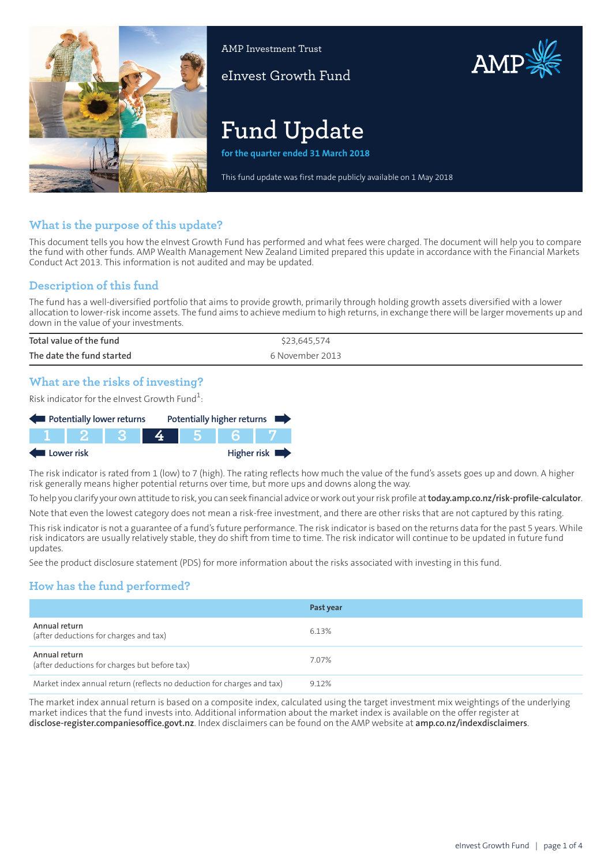

AMP Investment Trust

eInvest Growth Fund



# **Fund Update**

**for the quarter ended 31 March 2018**

This fund update was first made publicly available on 1 May 2018

# **What is the purpose of this update?**

This document tells you how the eInvest Growth Fund has performed and what fees were charged. The document will help you to compare the fund with other funds. AMP Wealth Management New Zealand Limited prepared this update in accordance with the Financial Markets Conduct Act 2013. This information is not audited and may be updated.

# **Description of this fund**

The fund has a well-diversified portfolio that aims to provide growth, primarily through holding growth assets diversified with a lower allocation to lower-risk income assets. The fund aims to achieve medium to high returns, in exchange there will be larger movements up and down in the value of your investments.

| Total value of the fund   | \$23,645,574    |
|---------------------------|-----------------|
| The date the fund started | 6 November 2013 |

# **What are the risks of investing?**

Risk indicator for the eInvest Growth Fund $^1$ :

| Potentially lower returns |                 |  | Potentially higher returns |  |                            |
|---------------------------|-----------------|--|----------------------------|--|----------------------------|
|                           | . 1 . 1 . 2 . 1 |  | 4 5 6                      |  |                            |
| Lower risk                |                 |  |                            |  | Higher risk $\blacksquare$ |

The risk indicator is rated from 1 (low) to 7 (high). The rating reflects how much the value of the fund's assets goes up and down. A higher risk generally means higher potential returns over time, but more ups and downs along the way.

To help you clarify your own attitude to risk, you can seek financial advice orwork out yourrisk profile at**[today.amp.co.nz/risk-profile-calculator](http://today.amp.co.nz/risk-profile-calculator)**.

Note that even the lowest category does not mean a risk-free investment, and there are other risks that are not captured by this rating.

This risk indicator is not a guarantee of a fund's future performance. The risk indicator is based on the returns data for the past 5 years. While risk indicators are usually relatively stable, they do shift from time to time. The risk indicator will continue to be updated in future fund updates.

See the product disclosure statement (PDS) for more information about the risks associated with investing in this fund.

# **How has the fund performed?**

|                                                                        | Past year |
|------------------------------------------------------------------------|-----------|
| Annual return<br>(after deductions for charges and tax)                | 6.13%     |
| Annual return<br>(after deductions for charges but before tax)         | 7.07%     |
| Market index annual return (reflects no deduction for charges and tax) | 9.12%     |

The market index annual return is based on a composite index, calculated using the target investment mix weightings of the underlying market indices that the fund invests into. Additional information about the market index is available on the offer register at **[disclose-register.companiesoffice.govt.nz](https://disclose-register.companiesoffice.govt.nz/)**. Index disclaimers can be found on the AMP website at **[amp.co.nz/indexdisclaimers](http://amp.co.nz/indexdisclaimers)**.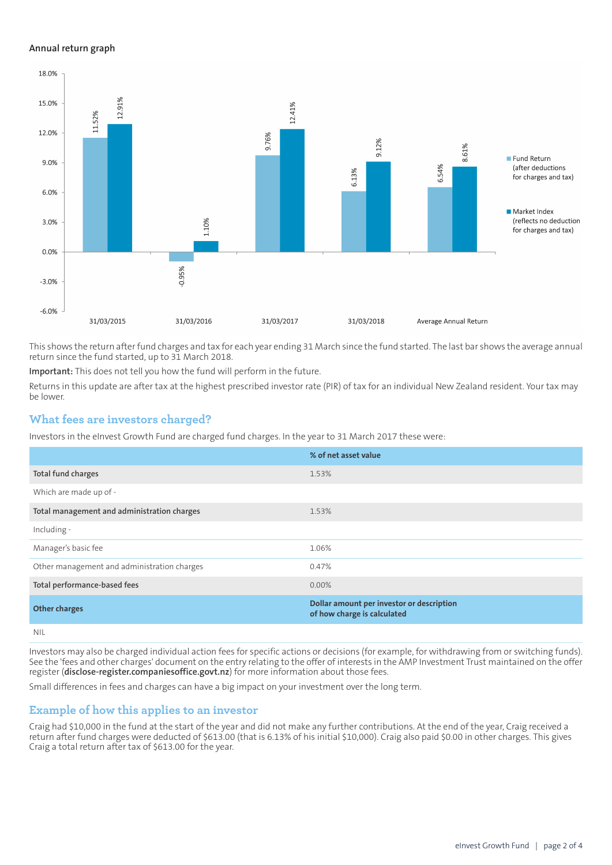#### **Annual return graph**



This shows the return afterfund charges and tax for each year ending 31 March since the fund started. The last bar shows the average annual return since the fund started, up to 31 March 2018.

**Important:** This does not tell you how the fund will perform in the future.

Returns in this update are after tax at the highest prescribed investor rate (PIR) of tax for an individual New Zealand resident. Your tax may be lower.

### **What fees are investors charged?**

Investors in the eInvest Growth Fund are charged fund charges. In the year to 31 March 2017 these were:

|                                             | % of net asset value                                                     |
|---------------------------------------------|--------------------------------------------------------------------------|
| Total fund charges                          | 1.53%                                                                    |
| Which are made up of -                      |                                                                          |
| Total management and administration charges | 1.53%                                                                    |
| Including -                                 |                                                                          |
| Manager's basic fee                         | 1.06%                                                                    |
| Other management and administration charges | 0.47%                                                                    |
| Total performance-based fees                | $0.00\%$                                                                 |
| <b>Other charges</b>                        | Dollar amount per investor or description<br>of how charge is calculated |
| NII                                         |                                                                          |

Investors may also be charged individual action fees for specific actions or decisions (for example, for withdrawing from or switching funds). See the 'fees and other charges' document on the entry relating to the offer of interests in the AMP Investment Trust maintained on the offer register (**[disclose-register.companiesoffice.govt.nz](https://disclose-register.companiesoffice.govt.nz/)**) for more information about those fees.

Small differences in fees and charges can have a big impact on your investment over the long term.

## **Example of how this applies to an investor**

Craig had \$10,000 in the fund at the start of the year and did not make any further contributions. At the end of the year, Craig received a return after fund charges were deducted of \$613.00 (that is 6.13% of his initial \$10,000). Craig also paid \$0.00 in other charges. This gives Craig a total return after tax of \$613.00 for the year.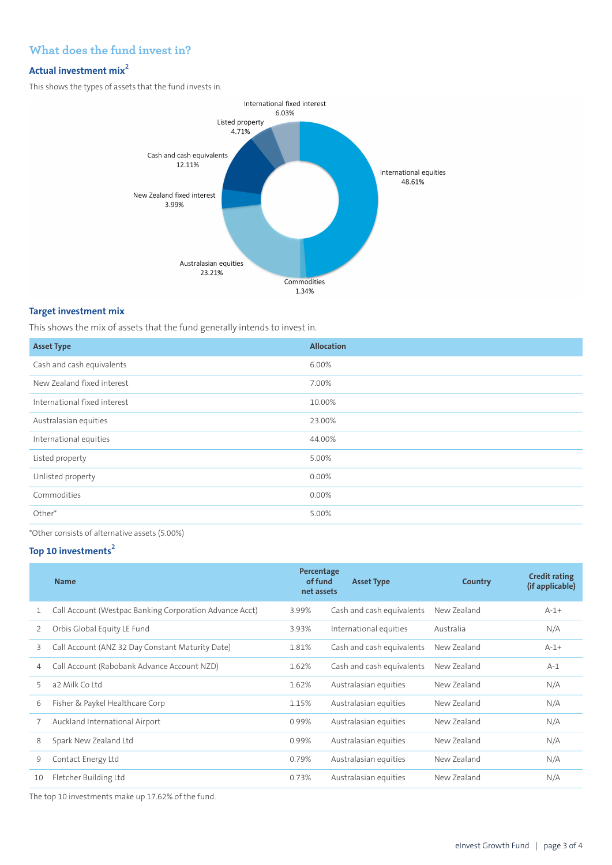# **What does the fund invest in?**

# **Actual investment mix<sup>2</sup>**

This shows the types of assets that the fund invests in.



## **Target investment mix**

This shows the mix of assets that the fund generally intends to invest in.

| <b>Asset Type</b>            | <b>Allocation</b> |
|------------------------------|-------------------|
| Cash and cash equivalents    | 6.00%             |
| New Zealand fixed interest   | 7.00%             |
| International fixed interest | 10.00%            |
| Australasian equities        | 23.00%            |
| International equities       | 44.00%            |
| Listed property              | 5.00%             |
| Unlisted property            | 0.00%             |
| Commodities                  | 0.00%             |
| Other*                       | 5.00%             |
|                              |                   |

\*Other consists of alternative assets (5.00%)

# **Top 10 investments<sup>2</sup>**

|    | <b>Name</b>                                             | Percentage<br>of fund<br>net assets | <b>Asset Type</b>         | <b>Country</b> | <b>Credit rating</b><br>(if applicable) |
|----|---------------------------------------------------------|-------------------------------------|---------------------------|----------------|-----------------------------------------|
| 1  | Call Account (Westpac Banking Corporation Advance Acct) | 3.99%                               | Cash and cash equivalents | New Zealand    | $A-1+$                                  |
| 2  | Orbis Global Equity LE Fund                             | 3.93%                               | International equities    | Australia      | N/A                                     |
| 3  | Call Account (ANZ 32 Day Constant Maturity Date)        | 1.81%                               | Cash and cash equivalents | New Zealand    | $A-1+$                                  |
| 4  | Call Account (Rabobank Advance Account NZD)             | 1.62%                               | Cash and cash equivalents | New Zealand    | $A-1$                                   |
| 5  | a2 Milk Coltd                                           | 1.62%                               | Australasian equities     | New Zealand    | N/A                                     |
| 6  | Fisher & Paykel Healthcare Corp                         | 1.15%                               | Australasian equities     | New Zealand    | N/A                                     |
| 7  | Auckland International Airport                          | 0.99%                               | Australasian equities     | New Zealand    | N/A                                     |
| 8  | Spark New Zealand Ltd                                   | 0.99%                               | Australasian equities     | New Zealand    | N/A                                     |
| 9  | Contact Energy Ltd                                      | 0.79%                               | Australasian equities     | New Zealand    | N/A                                     |
| 10 | Fletcher Building Ltd                                   | 0.73%                               | Australasian equities     | New Zealand    | N/A                                     |
|    |                                                         |                                     |                           |                |                                         |

The top 10 investments make up 17.62% of the fund.